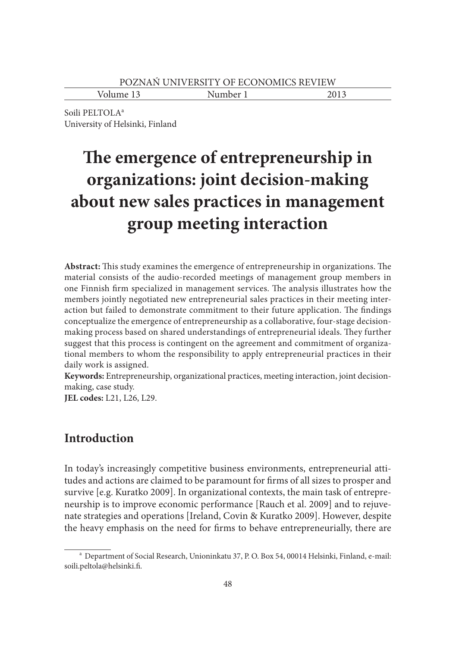Volume 13 Number 1 2013

Soili PELTOLA<sup>a</sup> University of Helsinki, Finland

# The emergence of entrepreneurship in **organizations: joint decision-making about new sales practices in management group meeting interaction**

Abstract: This study examines the emergence of entrepreneurship in organizations. The material consists of the audio-recorded meetings of management group members in one Finnish firm specialized in management services. The analysis illustrates how the members jointly negotiated new entrepreneurial sales practices in their meeting interaction but failed to demonstrate commitment to their future application. The findings conceptualize the emergence of entrepreneurship as a collaborative, four-stage decisionmaking process based on shared understandings of entrepreneurial ideals. They further suggest that this process is contingent on the agreement and commitment of organizational members to whom the responsibility to apply entrepreneurial practices in their daily work is assigned.

**Keywords:** Entrepreneurship, organizational practices, meeting interaction, joint decisionmaking, case study.

**JEL codes:** L21, L26, L29.

# **Introduction**

In today's increasingly competitive business environments, entrepreneurial attitudes and actions are claimed to be paramount for firms of all sizes to prosper and survive [e.g. Kuratko 2009]. In organizational contexts, the main task of entrepreneurship is to improve economic performance [Rauch et al. 2009] and to rejuvenate strategies and operations [Ireland, Covin & Kuratko 2009]. However, despite the heavy emphasis on the need for firms to behave entrepreneurially, there are

a Department of Social Research, Unioninkatu 37, P. O. Box 54, 00014 Helsinki, Finland, e-mail: soili.peltola@helsinki.fi.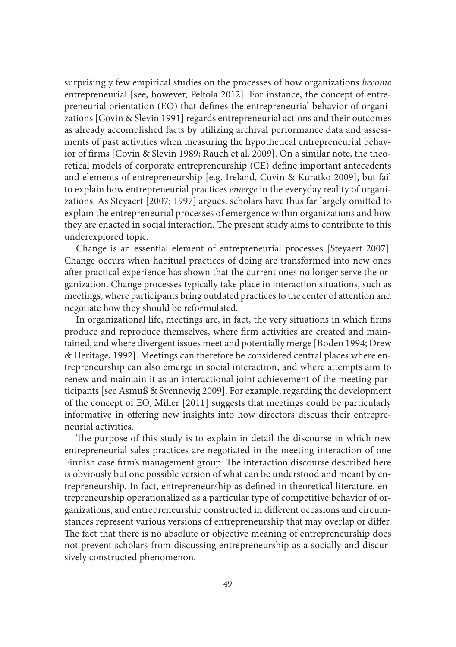surprisingly few empirical studies on the processes of how organizations *become* entrepreneurial [see, however, Peltola 2012]. For instance, the concept of entrepreneurial orientation (EO) that defines the entrepreneurial behavior of organizations [Covin & Slevin 1991] regards entrepreneurial actions and their outcomes as already accomplished facts by utilizing archival performance data and assessments of past activities when measuring the hypothetical entrepreneurial behavior of firms [Covin & Slevin 1989; Rauch et al. 2009]. On a similar note, the theoretical models of corporate entrepreneurship (CE) define important antecedents and elements of entrepreneurship [e.g. Ireland, Covin & Kuratko 2009], but fail to explain how entrepreneurial practices *emerge* in the everyday reality of organizations. As Steyaert [2007; 1997] argues, scholars have thus far largely omitted to explain the entrepreneurial processes of emergence within organizations and how they are enacted in social interaction. The present study aims to contribute to this underexplored topic.

Change is an essential element of entrepreneurial processes [Steyaert 2007]. Change occurs when habitual practices of doing are transformed into new ones after practical experience has shown that the current ones no longer serve the organization. Change processes typically take place in interaction situations, such as meetings, where participants bring outdated practices to the center of attention and negotiate how they should be reformulated.

In organizational life, meetings are, in fact, the very situations in which firms produce and reproduce themselves, where firm activities are created and maintained, and where divergent issues meet and potentially merge [Boden 1994; Drew & Heritage, 1992]. Meetings can therefore be considered central places where entrepreneurship can also emerge in social interaction, and where attempts aim to renew and maintain it as an interactional joint achievement of the meeting participants [see Asmuß & Svennevig 2009]. For example, regarding the development of the concept of EO, Miller [2011] suggests that meetings could be particularly informative in offering new insights into how directors discuss their entrepreneurial activities.

The purpose of this study is to explain in detail the discourse in which new entrepreneurial sales practices are negotiated in the meeting interaction of one Finnish case firm's management group. The interaction discourse described here is obviously but one possible version of what can be understood and meant by entrepreneurship. In fact, entrepreneurship as defined in theoretical literature, entrepreneurship operationalized as a particular type of competitive behavior of organizations, and entrepreneurship constructed in different occasions and circumstances represent various versions of entrepreneurship that may overlap or differ. The fact that there is no absolute or objective meaning of entrepreneurship does not prevent scholars from discussing entrepreneurship as a socially and discursively constructed phenomenon.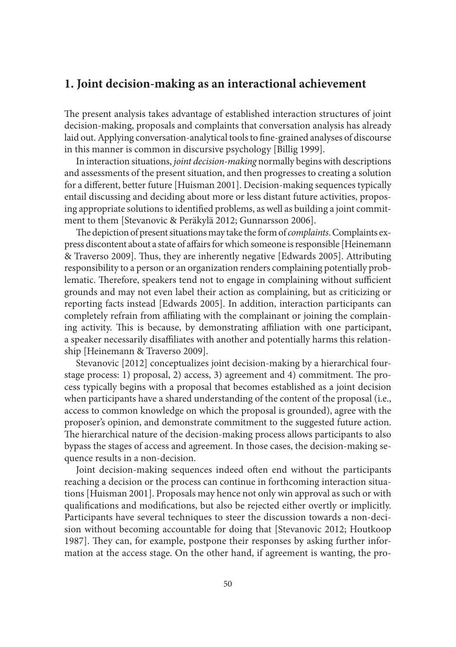## **1. Joint decision-making as an interactional achievement**

The present analysis takes advantage of established interaction structures of joint decision-making, proposals and complaints that conversation analysis has already laid out. Applying conversation-analytical tools to fine-grained analyses of discourse in this manner is common in discursive psychology [Billig 1999].

In interaction situations, *joint decision-making* normally begins with descriptions and assessments of the present situation, and then progresses to creating a solution for a different, better future [Huisman 2001]. Decision-making sequences typically entail discussing and deciding about more or less distant future activities, proposing appropriate solutions to identified problems, as well as building a joint commitment to them [Stevanovic & Peräkylä 2012; Gunnarsson 2006].

The depiction of present situations may take the form of *complaints*. Complaints express discontent about a state of affairs for which someone is responsible [Heinemann] & Traverso 2009]. Thus, they are inherently negative [Edwards 2005]. Attributing responsibility to a person or an organization renders complaining potentially problematic. Therefore, speakers tend not to engage in complaining without sufficient grounds and may not even label their action as complaining, but as criticizing or reporting facts instead [Edwards 2005]. In addition, interaction participants can completely refrain from affiliating with the complainant or joining the complaining activity. This is because, by demonstrating affiliation with one participant, a speaker necessarily disaffiliates with another and potentially harms this relationship [Heinemann & Traverso 2009].

Stevanovic [2012] conceptualizes joint decision-making by a hierarchical fourstage process: 1) proposal, 2) access, 3) agreement and 4) commitment. The process typically begins with a proposal that becomes established as a joint decision when participants have a shared understanding of the content of the proposal (i.e., access to common knowledge on which the proposal is grounded), agree with the proposer's opinion, and demonstrate commitment to the suggested future action. The hierarchical nature of the decision-making process allows participants to also bypass the stages of access and agreement. In those cases, the decision-making sequence results in a non-decision.

Joint decision-making sequences indeed often end without the participants reaching a decision or the process can continue in forthcoming interaction situations [Huisman 2001]. Proposals may hence not only win approval as such or with qualifications and modifications, but also be rejected either overtly or implicitly. Participants have several techniques to steer the discussion towards a non-decision without becoming accountable for doing that [Stevanovic 2012; Houtkoop 1987]. They can, for example, postpone their responses by asking further information at the access stage. On the other hand, if agreement is wanting, the pro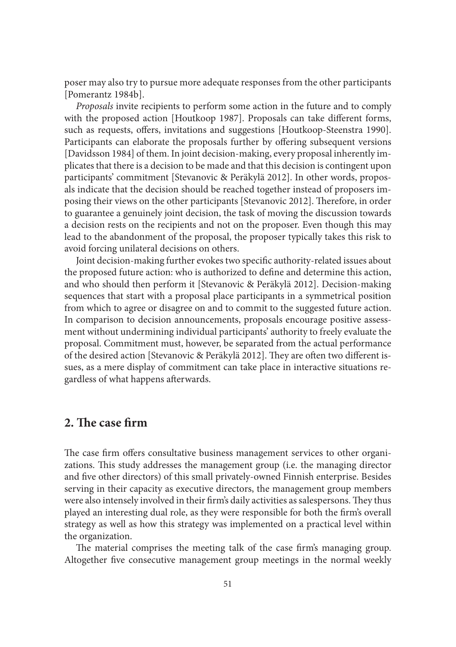poser may also try to pursue more adequate responses from the other participants [Pomerantz 1984b].

*Proposals* invite recipients to perform some action in the future and to comply with the proposed action [Houtkoop 1987]. Proposals can take different forms, such as requests, offers, invitations and suggestions [Houtkoop-Steenstra 1990]. Participants can elaborate the proposals further by offering subsequent versions [Davidsson 1984] of them. In joint decision-making, every proposal inherently implicates that there is a decision to be made and that this decision is contingent upon participants' commitment [Stevanovic & Peräkylä 2012]. In other words, proposals indicate that the decision should be reached together instead of proposers imposing their views on the other participants [Stevanovic 2012]. Therefore, in order to guarantee a genuinely joint decision, the task of moving the discussion towards a decision rests on the recipients and not on the proposer. Even though this may lead to the abandonment of the proposal, the proposer typically takes this risk to avoid forcing unilateral decisions on others.

Joint decision-making further evokes two specific authority-related issues about the proposed future action: who is authorized to define and determine this action, and who should then perform it [Stevanovic & Peräkylä 2012]. Decision-making sequences that start with a proposal place participants in a symmetrical position from which to agree or disagree on and to commit to the suggested future action. In comparison to decision announcements, proposals encourage positive assessment without undermining individual participants' authority to freely evaluate the proposal. Commitment must, however, be separated from the actual performance of the desired action [Stevanovic & Peräkylä 2012]. They are often two different issues, as a mere display of commitment can take place in interactive situations regardless of what happens afterwards.

# **2.** The case firm

The case firm offers consultative business management services to other organizations. This study addresses the management group (i.e. the managing director and five other directors) of this small privately-owned Finnish enterprise. Besides serving in their capacity as executive directors, the management group members were also intensely involved in their firm's daily activities as salespersons. They thus played an interesting dual role, as they were responsible for both the firm's overall strategy as well as how this strategy was implemented on a practical level within the organization.

The material comprises the meeting talk of the case firm's managing group. Altogether five consecutive management group meetings in the normal weekly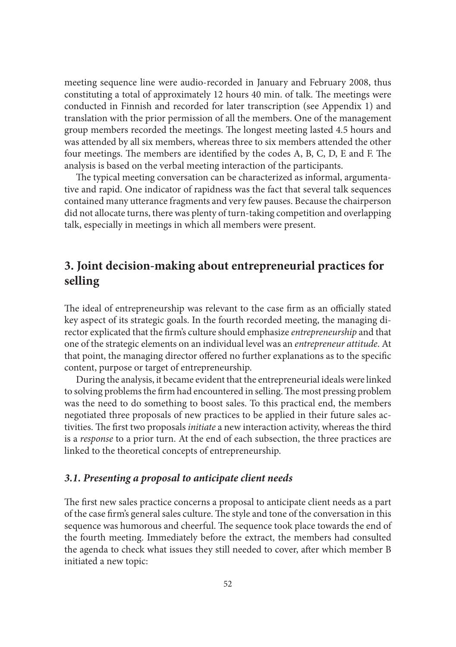meeting sequence line were audio-recorded in January and February 2008, thus constituting a total of approximately 12 hours 40 min. of talk. The meetings were conducted in Finnish and recorded for later transcription (see Appendix 1) and translation with the prior permission of all the members. One of the management group members recorded the meetings. The longest meeting lasted 4.5 hours and was attended by all six members, whereas three to six members attended the other four meetings. The members are identified by the codes A, B, C, D, E and F. The analysis is based on the verbal meeting interaction of the participants.

The typical meeting conversation can be characterized as informal, argumentative and rapid. One indicator of rapidness was the fact that several talk sequences contained many utterance fragments and very few pauses. Because the chairperson did not allocate turns, there was plenty of turn-taking competition and overlapping talk, especially in meetings in which all members were present.

# **3. Joint decision-making about entrepreneurial practices for selling**

The ideal of entrepreneurship was relevant to the case firm as an officially stated key aspect of its strategic goals. In the fourth recorded meeting, the managing director explicated that the firm's culture should emphasize *entrepreneurship* and that one of the strategic elements on an individual level was an *entrepreneur attitude*. At that point, the managing director offered no further explanations as to the specific content, purpose or target of entrepreneurship.

During the analysis, it became evident that the entrepreneurial ideals were linked to solving problems the firm had encountered in selling. The most pressing problem was the need to do something to boost sales. To this practical end, the members negotiated three proposals of new practices to be applied in their future sales activities. The first two proposals *initiate* a new interaction activity, whereas the third is a *response* to a prior turn. At the end of each subsection, the three practices are linked to the theoretical concepts of entrepreneurship.

### *3.1. Presenting a proposal to anticipate client needs*

The first new sales practice concerns a proposal to anticipate client needs as a part of the case firm's general sales culture. The style and tone of the conversation in this sequence was humorous and cheerful. The sequence took place towards the end of the fourth meeting. Immediately before the extract, the members had consulted the agenda to check what issues they still needed to cover, after which member B initiated a new topic: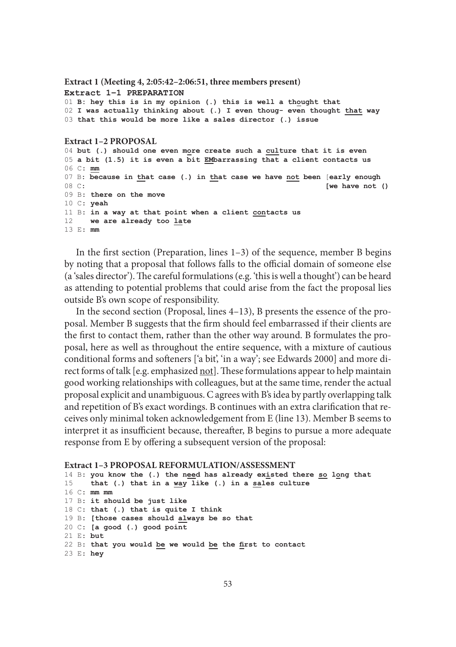#### **Extract 1 (Meeting 4, 2:05:42–2:06:51, three members present) Extract 1–1 PREPARATION** 01 **B: hey this is in my opinion (.) this is well a thought that** 02 **I was actually thinking about (.) I even thoug- even thought that way** 03 **that this would be more like a sales director (.) issue**

#### **Extract 1–2 PROPOSAL**

04 **but (.) should one even more create such a culture that it is even** 05 **a bit (1.5) it is even a bit EMbarrassing that a client contacts us** 06 C: **mm** 07 B: **because in that case (.) in that case we have not been** [**early enough** [we have not () 09 B: **there on the move** 10 C: **yeah** 11 B: **in a way at that point when a client contacts us** 12 **we are already too late** 13 E: **mm**

In the first section (Preparation, lines  $1-3$ ) of the sequence, member B begins by noting that a proposal that follows falls to the official domain of someone else (a 'sales director'). The careful formulations (e.g. 'this is well a thought') can be heard as attending to potential problems that could arise from the fact the proposal lies outside B's own scope of responsibility.

In the second section (Proposal, lines 4–13), B presents the essence of the proposal. Member B suggests that the firm should feel embarrassed if their clients are the first to contact them, rather than the other way around. B formulates the proposal, here as well as throughout the entire sequence, with a mixture of cautious conditional forms and softeners ['a bit', 'in a way'; see Edwards 2000] and more direct forms of talk [e.g. emphasized not]. These formulations appear to help maintain good working relationships with colleagues, but at the same time, render the actual proposal explicit and unambiguous. C agrees with B's idea by partly overlapping talk and repetition of B's exact wordings. B continues with an extra clarification that receives only minimal token acknowledgement from E (line 13). Member B seems to interpret it as insufficient because, thereafter, B begins to pursue a more adequate response from E by offering a subsequent version of the proposal:

#### **Extract 1–3 PROPOSAL REFORMULATION/ASSESSMENT**

```
14 B: you know the (.) the need has already existed there so long that
15 that (.) that in a way like (.) in a sales culture
16 C: mm mm
17 B: it should be just like
18 C: that (.) that is quite I think
19 B: [those cases should always be so that
20 C: [a good (.) good point
21 E: but
22 B: that you would be we would be the first to contact
23 E: hey
```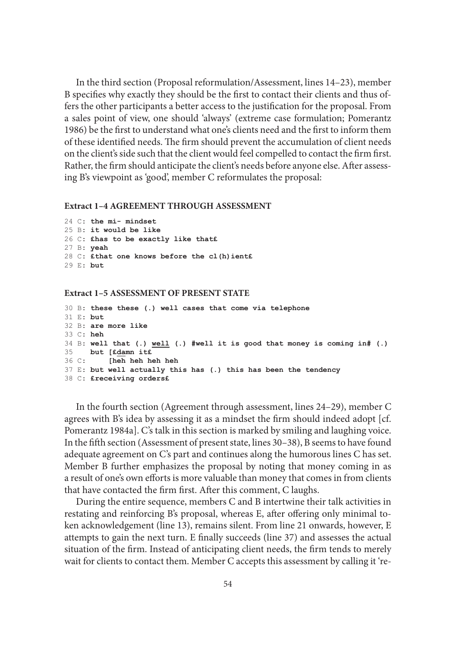In the third section (Proposal reformulation/Assessment, lines 14–23), member B specifies why exactly they should be the first to contact their clients and thus offers the other participants a better access to the justification for the proposal. From a sales point of view, one should 'always' (extreme case formulation; Pomerantz 1986) be the first to understand what one's clients need and the first to inform them of these identified needs. The firm should prevent the accumulation of client needs on the client's side such that the client would feel compelled to contact the firm first. Rather, the firm should anticipate the client's needs before anyone else. After assessing B's viewpoint as 'good', member C reformulates the proposal:

#### **Extract 1–4 AGREEMENT THROUGH ASSESSMENT**

```
24 C: the mi- mindset
25 B: it would be like
26 C: £has to be exactly like that£
27 B: yeah
28 C: £that one knows before the cl(h)ient£
29 E: but
```
#### **Extract 1–5 ASSESSMENT OF PRESENT STATE**

```
30 B: these these (.) well cases that come via telephone
31 E: but
32 B: are more like
33 C: heh
34 B: well that (.) well (.) #well it is good that money is coming in# (.)
35 but [£damn it£
36 C: [heh heh heh heh
37 E: but well actually this has (.) this has been the tendency
38 C: £receiving orders£
```
In the fourth section (Agreement through assessment, lines 24–29), member C agrees with B's idea by assessing it as a mindset the firm should indeed adopt  $[cf.]$ Pomerantz 1984a]. C's talk in this section is marked by smiling and laughing voice. In the fifth section (Assessment of present state, lines  $30-38$ ), B seems to have found adequate agreement on C's part and continues along the humorous lines C has set. Member B further emphasizes the proposal by noting that money coming in as a result of one's own efforts is more valuable than money that comes in from clients that have contacted the firm first. After this comment, C laughs.

During the entire sequence, members C and B intertwine their talk activities in restating and reinforcing B's proposal, whereas E, after offering only minimal token acknowledgement (line 13), remains silent. From line 21 onwards, however, E attempts to gain the next turn. E finally succeeds (line 37) and assesses the actual situation of the firm. Instead of anticipating client needs, the firm tends to merely wait for clients to contact them. Member C accepts this assessment by calling it 're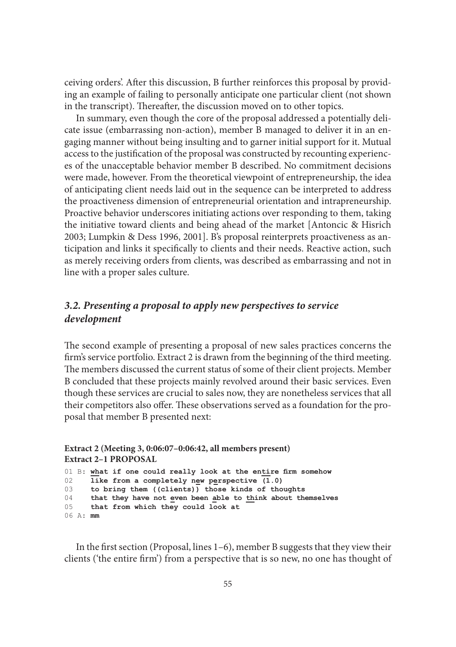ceiving orders'. After this discussion, B further reinforces this proposal by providing an example of failing to personally anticipate one particular client (not shown in the transcript). Thereafter, the discussion moved on to other topics.

In summary, even though the core of the proposal addressed a potentially delicate issue (embarrassing non-action), member B managed to deliver it in an engaging manner without being insulting and to garner initial support for it. Mutual access to the justification of the proposal was constructed by recounting experiences of the unacceptable behavior member B described. No commitment decisions were made, however. From the theoretical viewpoint of entrepreneurship, the idea of anticipating client needs laid out in the sequence can be interpreted to address the proactiveness dimension of entrepreneurial orientation and intrapreneurship. Proactive behavior underscores initiating actions over responding to them, taking the initiative toward clients and being ahead of the market [Antoncic & Hisrich 2003; Lumpkin & Dess 1996, 2001]. B's proposal reinterprets proactiveness as anticipation and links it specifically to clients and their needs. Reactive action, such as merely receiving orders from clients, was described as embarrassing and not in line with a proper sales culture.

# *3.2. Presenting a proposal to apply new perspectives to service development*

The second example of presenting a proposal of new sales practices concerns the firm's service portfolio. Extract 2 is drawn from the beginning of the third meeting. The members discussed the current status of some of their client projects. Member B concluded that these projects mainly revolved around their basic services. Even though these services are crucial to sales now, they are nonetheless services that all their competitors also offer. These observations served as a foundation for the proposal that member B presented next:

### **Extract 2 (Meeting 3, 0:06:07–0:06:42, all members present) Extract 2–1 PROPOSAL**

01 B: **what if one could really look at the entire firm somehow** 02 **like from a completely new perspective (1.0)** like from a completely new perspective  $(1.0)$ 03 **to bring them ((clients)) those kinds of thoughts** 04 **that they have not even been able to think about themselves** 05 **that from which they could look at** 06 A: **mm**

In the first section (Proposal, lines  $1-6$ ), member B suggests that they view their clients ('the entire firm') from a perspective that is so new, no one has thought of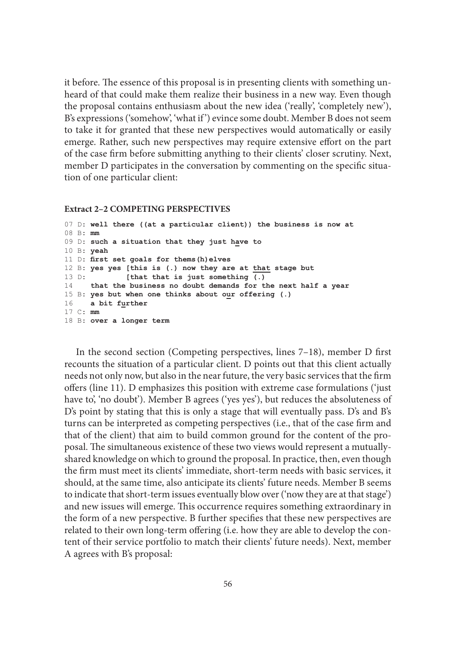it before. The essence of this proposal is in presenting clients with something unheard of that could make them realize their business in a new way. Even though the proposal contains enthusiasm about the new idea ('really', 'completely new'), B's expressions ('somehow', 'what if ') evince some doubt. Member B does not seem to take it for granted that these new perspectives would automatically or easily emerge. Rather, such new perspectives may require extensive effort on the part of the case firm before submitting anything to their clients' closer scrutiny. Next, member D participates in the conversation by commenting on the specific situation of one particular client:

#### **Extract 2–2 COMPETING PERSPECTIVES**

```
07 D: well there ((at a particular client)) the business is now at
08 B: mm
09 D: such a situation that they just have to
10 B: yeah
11 D: first set goals for thems(h)elves
12 B: yes yes [this is (.) now they are at that stage but
13 D: [that that is just something (.)
14 that the business no doubt demands for the next half a year
15 B: yes but when one thinks about our offering (.)
16 a bit further
17 C: mm
18 B: over a longer term
```
In the second section (Competing perspectives, lines  $7-18$ ), member D first recounts the situation of a particular client. D points out that this client actually needs not only now, but also in the near future, the very basic services that the firm offers (line 11). D emphasizes this position with extreme case formulations ('just have to', 'no doubt'). Member B agrees ('yes yes'), but reduces the absoluteness of D's point by stating that this is only a stage that will eventually pass. D's and B's turns can be interpreted as competing perspectives (i.e., that of the case firm and that of the client) that aim to build common ground for the content of the proposal. The simultaneous existence of these two views would represent a mutuallyshared knowledge on which to ground the proposal. In practice, then, even though the firm must meet its clients' immediate, short-term needs with basic services, it should, at the same time, also anticipate its clients' future needs. Member B seems to indicate that short-term issues eventually blow over ('now they are at that stage') and new issues will emerge. This occurrence requires something extraordinary in the form of a new perspective. B further specifies that these new perspectives are related to their own long-term offering (i.e. how they are able to develop the content of their service portfolio to match their clients' future needs). Next, member A agrees with B's proposal: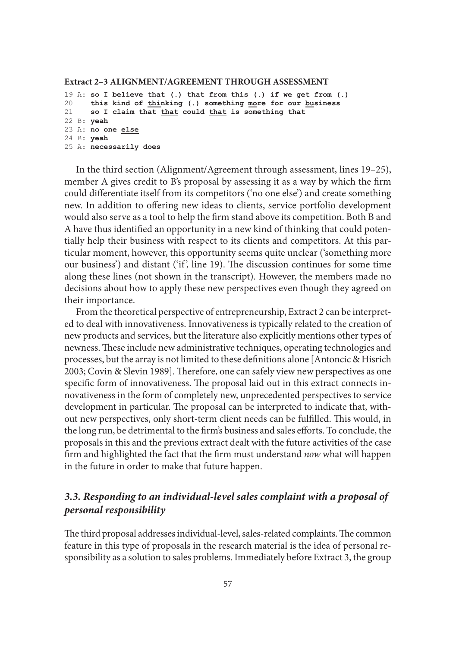#### **Extract 2–3 ALIGNMENT/AGREEMENT THROUGH ASSESSMENT**

```
19 A: so I believe that (.) that from this (.) if we get from (.)
     20 this kind of thinking (.) something more for our business
21 so I claim that that could that is something that
22 B: yeah
23 A: no one else
24 B: yeah
25 A: necessarily does
```
In the third section (Alignment/Agreement through assessment, lines 19–25), member A gives credit to B's proposal by assessing it as a way by which the firm could differentiate itself from its competitors ('no one else') and create something new. In addition to offering new ideas to clients, service portfolio development would also serve as a tool to help the firm stand above its competition. Both B and A have thus identified an opportunity in a new kind of thinking that could potentially help their business with respect to its clients and competitors. At this particular moment, however, this opportunity seems quite unclear ('something more our business') and distant ('if', line 19). The discussion continues for some time along these lines (not shown in the transcript). However, the members made no decisions about how to apply these new perspectives even though they agreed on their importance.

From the theoretical perspective of entrepreneurship, Extract 2 can be interpreted to deal with innovativeness. Innovativeness is typically related to the creation of new products and services, but the literature also explicitly mentions other types of newness. These include new administrative techniques, operating technologies and processes, but the array is not limited to these definitions alone [Antoncic & Hisrich] 2003; Covin & Slevin 1989]. Therefore, one can safely view new perspectives as one specific form of innovativeness. The proposal laid out in this extract connects innovativeness in the form of completely new, unprecedented perspectives to service development in particular. The proposal can be interpreted to indicate that, without new perspectives, only short-term client needs can be fulfilled. This would, in the long run, be detrimental to the firm's business and sales efforts. To conclude, the proposals in this and the previous extract dealt with the future activities of the case firm and highlighted the fact that the firm must understand *now* what will happen in the future in order to make that future happen.

# *3.3. Responding to an individual-level sales complaint with a proposal of personal responsibility*

The third proposal addresses individual-level, sales-related complaints. The common feature in this type of proposals in the research material is the idea of personal responsibility as a solution to sales problems. Immediately before Extract 3, the group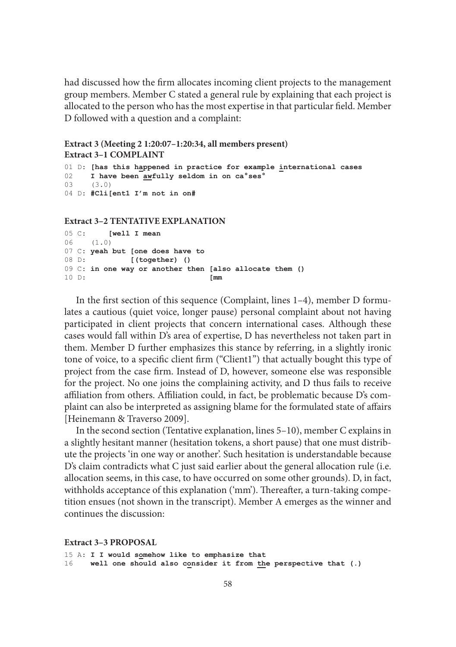had discussed how the firm allocates incoming client projects to the management group members. Member C stated a general rule by explaining that each project is allocated to the person who has the most expertise in that particular field. Member D followed with a question and a complaint:

```
Extract 3 (Meeting 2 1:20:07–1:20:34, all members present)
Extract 3–1 COMPLAINT
```

```
01 D: [has this happened in practice for example international cases
02 I have been awfully seldom in on ca°ses°
03 (3.0)
04 D: #Cli[ent1 I'm not in on#
```
#### **Extract 3–2 TENTATIVE EXPLANATION**

```
05 C: [well I mean
06 (1.0)
07 C: yeah but [one does have to
      08 D: [(together) ()
09 C: in one way or another then [also allocate them ()
10 D: [mm
```
In the first section of this sequence (Complaint, lines  $1-4$ ), member D formulates a cautious (quiet voice, longer pause) personal complaint about not having participated in client projects that concern international cases. Although these cases would fall within D's area of expertise, D has nevertheless not taken part in them. Member D further emphasizes this stance by referring, in a slightly ironic tone of voice, to a specific client firm ("Client1") that actually bought this type of project from the case firm. Instead of D, however, someone else was responsible for the project. No one joins the complaining activity, and D thus fails to receive affiliation from others. Affiliation could, in fact, be problematic because D's complaint can also be interpreted as assigning blame for the formulated state of affairs [Heinemann & Traverso 2009].

In the second section (Tentative explanation, lines 5–10), member C explains in a slightly hesitant manner (hesitation tokens, a short pause) that one must distribute the projects 'in one way or another'. Such hesitation is understandable because D's claim contradicts what C just said earlier about the general allocation rule (i.e. allocation seems, in this case, to have occurred on some other grounds). D, in fact, withholds acceptance of this explanation ('mm'). Thereafter, a turn-taking competition ensues (not shown in the transcript). Member A emerges as the winner and continues the discussion:

**Extract 3–3 PROPOSAL**

```
15 A: I I would somehow like to emphasize that
16 well one should also consider it from the perspective that (.)
```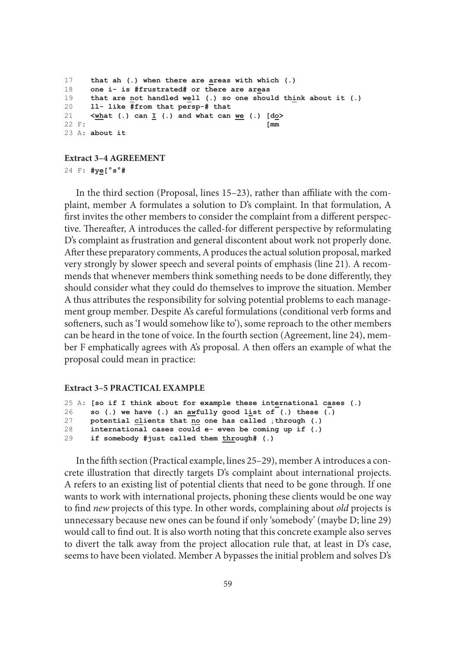```
17 that ah (.) when there are areas with which (.)
18 one i- is #frustrated# or there are areas
19 that are not handled well (.) so one should think about it (.)
20 ll- like #from that persp-# that
21 \ltimeswhat (.) can I (.) and what can <u>we</u> (.) \text{Id}_2 > 22 F:
22 F: [mm
23 A: about it
```
#### **Extract 3–4 AGREEMENT**

24 F: **#ye[°s°#**

In the third section (Proposal, lines 15–23), rather than affiliate with the complaint, member A formulates a solution to D's complaint. In that formulation, A first invites the other members to consider the complaint from a different perspective. Thereafter, A introduces the called-for different perspective by reformulating D's complaint as frustration and general discontent about work not properly done. After these preparatory comments, A produces the actual solution proposal, marked very strongly by slower speech and several points of emphasis (line 21). A recommends that whenever members think something needs to be done differently, they should consider what they could do themselves to improve the situation. Member A thus attributes the responsibility for solving potential problems to each management group member. Despite A's careful formulations (conditional verb forms and softeners, such as 'I would somehow like to'), some reproach to the other members can be heard in the tone of voice. In the fourth section (Agreement, line 24), member F emphatically agrees with A's proposal. A then offers an example of what the proposal could mean in practice:

#### **Extract 3–5 PRACTICAL EXAMPLE**

```
25 A: [so if I think about for example these international cases (.)
26 so (.) we have (.) an awfully good list of (.) these (.)
27 potential clients that no one has called ↓through (.)
28 international cases could e- even be coming up if (.)
29 if somebody #just called them through# (.)
```
In the fifth section (Practical example, lines 25–29), member A introduces a concrete illustration that directly targets D's complaint about international projects. A refers to an existing list of potential clients that need to be gone through. If one wants to work with international projects, phoning these clients would be one way to find *new* projects of this type. In other words, complaining about *old* projects is unnecessary because new ones can be found if only 'somebody' (maybe D; line 29) would call to find out. It is also worth noting that this concrete example also serves to divert the talk away from the project allocation rule that, at least in D's case, seems to have been violated. Member A bypasses the initial problem and solves D's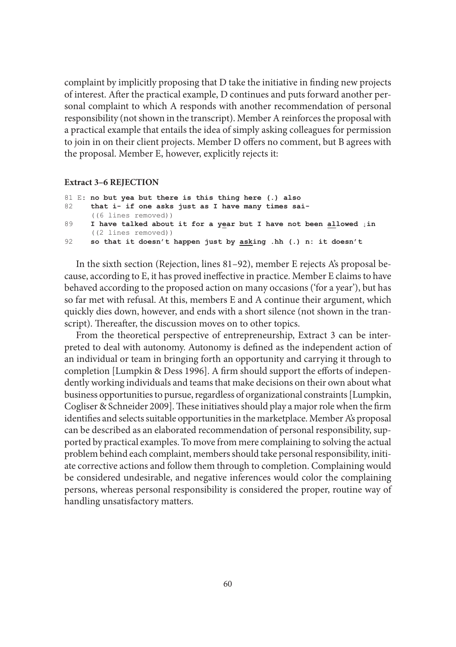complaint by implicitly proposing that  $D$  take the initiative in finding new projects of interest. After the practical example, D continues and puts forward another personal complaint to which A responds with another recommendation of personal responsibility (not shown in the transcript). Member A reinforces the proposal with a practical example that entails the idea of simply asking colleagues for permission to join in on their client projects. Member D offers no comment, but B agrees with the proposal. Member E, however, explicitly rejects it:

#### **Extract 3–6 REJECTION**

```
81 E: no but yea but there is this thing here (.) also
82 that i- if one asks just as I have many times sai-
       ((6 lines removed))
89 I have talked about it for a year but I have not been allowed ↓in
      ((2 lines removed))
92 so that it doesn't happen just by asking .hh (.) n: it doesn't
```
In the sixth section (Rejection, lines 81–92), member E rejects A's proposal because, according to E, it has proved ineffective in practice. Member E claims to have behaved according to the proposed action on many occasions ('for a year'), but has so far met with refusal. At this, members E and A continue their argument, which quickly dies down, however, and ends with a short silence (not shown in the transcript). Thereafter, the discussion moves on to other topics.

From the theoretical perspective of entrepreneurship, Extract 3 can be interpreted to deal with autonomy. Autonomy is defined as the independent action of an individual or team in bringing forth an opportunity and carrying it through to completion [Lumpkin & Dess 1996]. A firm should support the efforts of independently working individuals and teams that make decisions on their own about what business opportunities to pursue, regardless of organizational constraints [Lumpkin, Cogliser & Schneider 2009]. These initiatives should play a major role when the firm identifies and selects suitable opportunities in the marketplace. Member A's proposal can be described as an elaborated recommendation of personal responsibility, supported by practical examples. To move from mere complaining to solving the actual problem behind each complaint, members should take personal responsibility, initiate corrective actions and follow them through to completion. Complaining would be considered undesirable, and negative inferences would color the complaining persons, whereas personal responsibility is considered the proper, routine way of handling unsatisfactory matters.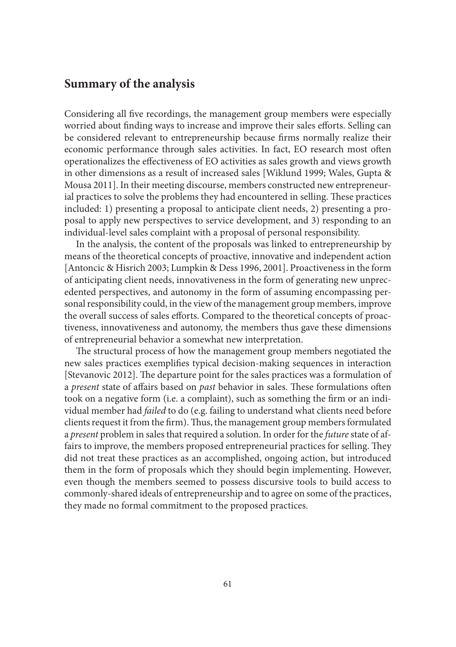# **Summary of the analysis**

Considering all five recordings, the management group members were especially worried about finding ways to increase and improve their sales efforts. Selling can be considered relevant to entrepreneurship because firms normally realize their economic performance through sales activities. In fact, EO research most often operationalizes the effectiveness of EO activities as sales growth and views growth in other dimensions as a result of increased sales [Wiklund 1999; Wales, Gupta & Mousa 2011]. In their meeting discourse, members constructed new entrepreneurial practices to solve the problems they had encountered in selling. These practices included: 1) presenting a proposal to anticipate client needs, 2) presenting a proposal to apply new perspectives to service development, and 3) responding to an individual-level sales complaint with a proposal of personal responsibility.

In the analysis, the content of the proposals was linked to entrepreneurship by means of the theoretical concepts of proactive, innovative and independent action [Antoncic & Hisrich 2003; Lumpkin & Dess 1996, 2001]. Proactiveness in the form of anticipating client needs, innovativeness in the form of generating new unprecedented perspectives, and autonomy in the form of assuming encompassing personal responsibility could, in the view of the management group members, improve the overall success of sales efforts. Compared to the theoretical concepts of proactiveness, innovativeness and autonomy, the members thus gave these dimensions of entrepreneurial behavior a somewhat new interpretation.

The structural process of how the management group members negotiated the new sales practices exemplifies typical decision-making sequences in interaction [Stevanovic 2012]. The departure point for the sales practices was a formulation of a *present* state of affairs based on *past* behavior in sales. These formulations often took on a negative form (i.e. a complaint), such as something the firm or an individual member had *failed* to do (e.g. failing to understand what clients need before clients request it from the firm). Thus, the management group members formulated a *present* problem in sales that required a solution. In order for the *future* state of affairs to improve, the members proposed entrepreneurial practices for selling. They did not treat these practices as an accomplished, ongoing action, but introduced them in the form of proposals which they should begin implementing. However, even though the members seemed to possess discursive tools to build access to commonly-shared ideals of entrepreneurship and to agree on some of the practices, they made no formal commitment to the proposed practices.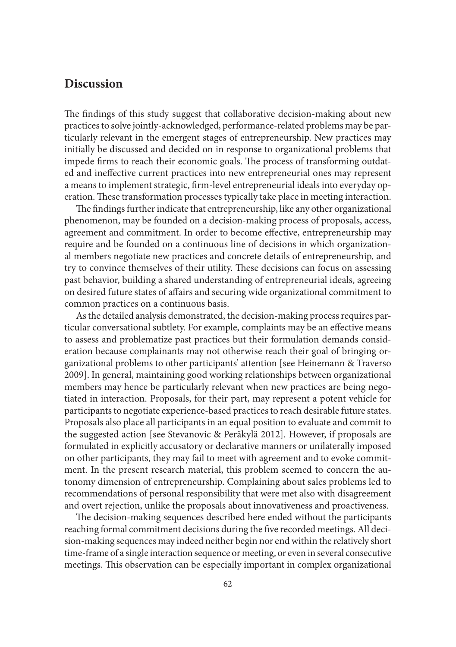# **Discussion**

The findings of this study suggest that collaborative decision-making about new practices to solve jointly-acknowledged, performance-related problems may be particularly relevant in the emergent stages of entrepreneurship. New practices may initially be discussed and decided on in response to organizational problems that impede firms to reach their economic goals. The process of transforming outdated and ineffective current practices into new entrepreneurial ones may represent a means to implement strategic, firm-level entrepreneurial ideals into everyday operation. These transformation processes typically take place in meeting interaction.

The findings further indicate that entrepreneurship, like any other organizational phenomenon, may be founded on a decision-making process of proposals, access, agreement and commitment. In order to become effective, entrepreneurship may require and be founded on a continuous line of decisions in which organizational members negotiate new practices and concrete details of entrepreneurship, and try to convince themselves of their utility. These decisions can focus on assessing past behavior, building a shared understanding of entrepreneurial ideals, agreeing on desired future states of affairs and securing wide organizational commitment to common practices on a continuous basis.

As the detailed analysis demonstrated, the decision-making process requires particular conversational subtlety. For example, complaints may be an effective means to assess and problematize past practices but their formulation demands consideration because complainants may not otherwise reach their goal of bringing organizational problems to other participants' attention [see Heinemann & Traverso 2009]. In general, maintaining good working relationships between organizational members may hence be particularly relevant when new practices are being negotiated in interaction. Proposals, for their part, may represent a potent vehicle for participants to negotiate experience-based practices to reach desirable future states. Proposals also place all participants in an equal position to evaluate and commit to the suggested action [see Stevanovic & Peräkylä 2012]. However, if proposals are formulated in explicitly accusatory or declarative manners or unilaterally imposed on other participants, they may fail to meet with agreement and to evoke commitment. In the present research material, this problem seemed to concern the autonomy dimension of entrepreneurship. Complaining about sales problems led to recommendations of personal responsibility that were met also with disagreement and overt rejection, unlike the proposals about innovativeness and proactiveness.

The decision-making sequences described here ended without the participants reaching formal commitment decisions during the five recorded meetings. All decision-making sequences may indeed neither begin nor end within the relatively short time-frame of a single interaction sequence or meeting, or even in several consecutive meetings. This observation can be especially important in complex organizational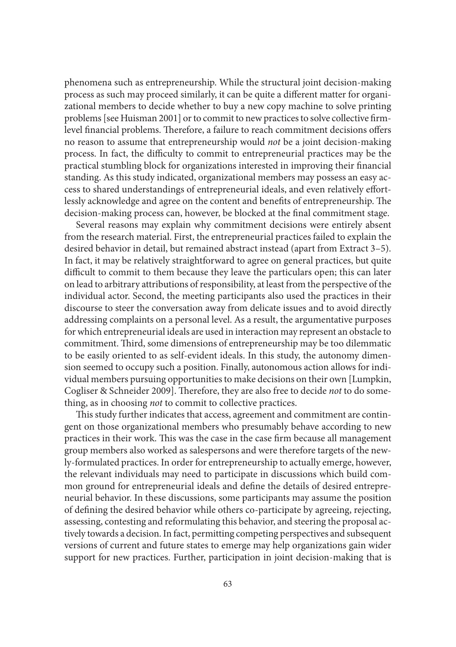phenomena such as entrepreneurship. While the structural joint decision-making process as such may proceed similarly, it can be quite a different matter for organizational members to decide whether to buy a new copy machine to solve printing problems [see Huisman 2001] or to commit to new practices to solve collective firmlevel financial problems. Therefore, a failure to reach commitment decisions offers no reason to assume that entrepreneurship would *not* be a joint decision-making process. In fact, the difficulty to commit to entrepreneurial practices may be the practical stumbling block for organizations interested in improving their financial standing. As this study indicated, organizational members may possess an easy access to shared understandings of entrepreneurial ideals, and even relatively effortlessly acknowledge and agree on the content and benefits of entrepreneurship. The decision-making process can, however, be blocked at the final commitment stage.

Several reasons may explain why commitment decisions were entirely absent from the research material. First, the entrepreneurial practices failed to explain the desired behavior in detail, but remained abstract instead (apart from Extract 3–5). In fact, it may be relatively straightforward to agree on general practices, but quite difficult to commit to them because they leave the particulars open; this can later on lead to arbitrary attributions of responsibility, at least from the perspective of the individual actor. Second, the meeting participants also used the practices in their discourse to steer the conversation away from delicate issues and to avoid directly addressing complaints on a personal level. As a result, the argumentative purposes for which entrepreneurial ideals are used in interaction may represent an obstacle to commitment. Third, some dimensions of entrepreneurship may be too dilemmatic to be easily oriented to as self-evident ideals. In this study, the autonomy dimension seemed to occupy such a position. Finally, autonomous action allows for individual members pursuing opportunities to make decisions on their own [Lumpkin, Cogliser & Schneider 2009]. Therefore, they are also free to decide *not* to do something, as in choosing *not* to commit to collective practices.

This study further indicates that access, agreement and commitment are contingent on those organizational members who presumably behave according to new practices in their work. This was the case in the case firm because all management group members also worked as salespersons and were therefore targets of the newly-formulated practices. In order for entrepreneurship to actually emerge, however, the relevant individuals may need to participate in discussions which build common ground for entrepreneurial ideals and define the details of desired entrepreneurial behavior. In these discussions, some participants may assume the position of defining the desired behavior while others co-participate by agreeing, rejecting, assessing, contesting and reformulating this behavior, and steering the proposal actively towards a decision. In fact, permitting competing perspectives and subsequent versions of current and future states to emerge may help organizations gain wider support for new practices. Further, participation in joint decision-making that is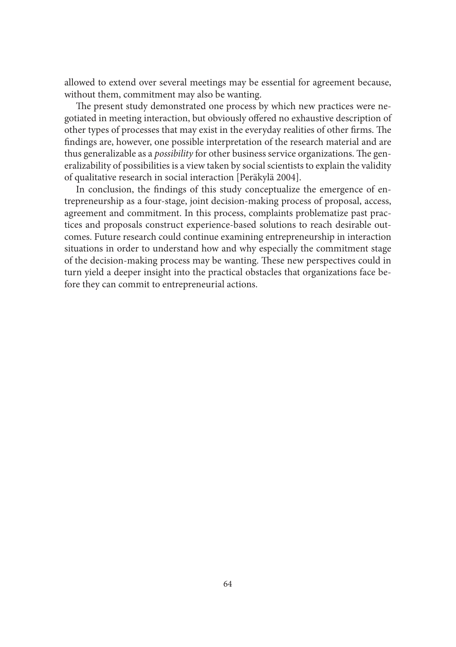allowed to extend over several meetings may be essential for agreement because, without them, commitment may also be wanting.

The present study demonstrated one process by which new practices were negotiated in meeting interaction, but obviously offered no exhaustive description of other types of processes that may exist in the everyday realities of other firms. The findings are, however, one possible interpretation of the research material and are thus generalizable as a *possibility* for other business service organizations. The generalizability of possibilities is a view taken by social scientists to explain the validity of qualitative research in social interaction [Peräkylä 2004].

In conclusion, the findings of this study conceptualize the emergence of entrepreneurship as a four-stage, joint decision-making process of proposal, access, agreement and commitment. In this process, complaints problematize past practices and proposals construct experience-based solutions to reach desirable outcomes. Future research could continue examining entrepreneurship in interaction situations in order to understand how and why especially the commitment stage of the decision-making process may be wanting. These new perspectives could in turn yield a deeper insight into the practical obstacles that organizations face before they can commit to entrepreneurial actions.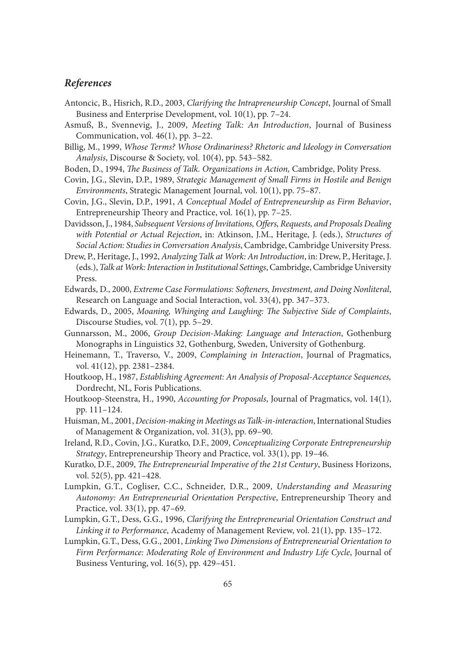### *References*

- Antoncic, B., Hisrich, R.D., 2003, *Clarifying the Intrapreneurship Concept*, Journal of Small Business and Enterprise Development, vol. 10(1), pp. 7–24.
- Asmuß, B., Svennevig, J., 2009, *Meeting Talk: An Introduction*, Journal of Business Communication, vol. 46(1), pp. 3–22.
- Billig, M., 1999, *Whose Terms? Whose Ordinariness? Rhetoric and Ideology in Conversation Analysis*, Discourse & Society, vol. 10(4), pp. 543–582.
- Boden, D., 1994, *The Business of Talk. Organizations in Action*, Cambridge, Polity Press.
- Covin, J.G., Slevin, D.P., 1989, *Strategic Management of Small Firms in Hostile and Benign Environments*, Strategic Management Journal, vol. 10(1), pp. 75–87.
- Covin, J.G., Slevin, D.P., 1991, *A Conceptual Model of Entrepreneurship as Firm Behavior*, Entrepreneurship Theory and Practice, vol. 16(1), pp. 7-25.
- Davidsson, J., 1984, *Subsequent Versions of Invitations, Offers, Requests, and Proposals Dealing with Potential or Actual Rejection*, in: Atkinson, J.M., Heritage, J. (eds.), *Structures of Social Action: Studies in Conversation Analysis*, Cambridge, Cambridge University Press.
- Drew, P., Heritage, J., 1992, *Analyzing Talk at Work: An Introduction*, in: Drew, P., Heritage, J. (eds.), *Talk at Work: Interaction in Institutional Settings*, Cambridge, Cambridge University Press.
- Edwards, D., 2000, *Extreme Case Formulations: Softeners, Investment, and Doing Nonliteral*, Research on Language and Social Interaction, vol. 33(4), pp. 347–373.
- Edwards, D., 2005, *Moaning, Whinging and Laughing: The Subjective Side of Complaints*, Discourse Studies, vol. 7(1), pp. 5–29.
- Gunnarsson, M., 2006, *Group Decision-Making: Language and Interaction*, Gothenburg Monographs in Linguistics 32, Gothenburg, Sweden, University of Gothenburg.
- Heinemann, T., Traverso, V., 2009, *Complaining in Interaction*, Journal of Pragmatics, vol. 41(12), pp. 2381–2384.
- Houtkoop, H., 1987, *Establishing Agreement: An Analysis of Proposal-Acceptance Sequences,* Dordrecht, NL, Foris Publications.
- Houtkoop-Steenstra, H., 1990, *Accounting for Proposals*, Journal of Pragmatics, vol. 14(1), pp. 111–124.
- Huisman, M., 2001, *Decision-making in Meetings as Talk-in-interaction*, International Studies of Management & Organization, vol. 31(3), pp. 69–90.
- Ireland, R.D., Covin, J.G., Kuratko, D.F., 2009, *Conceptualizing Corporate Entrepreneurship Strategy*, Entrepreneurship Theory and Practice, vol. 33(1), pp. 19-46.
- Kuratko, D.F., 2009, *The Entrepreneurial Imperative of the 21st Century*, Business Horizons, vol. 52(5), pp. 421–428.
- Lumpkin, G.T., Cogliser, C.C., Schneider, D.R., 2009, *Understanding and Measuring Autonomy: An Entrepreneurial Orientation Perspective*, Entrepreneurship Theory and Practice, vol. 33(1), pp. 47–69.
- Lumpkin, G.T., Dess, G.G., 1996, *Clarifying the Entrepreneurial Orientation Construct and Linking it to Performance*, Academy of Management Review, vol. 21(1), pp. 135–172.
- Lumpkin, G.T., Dess, G.G., 2001, *Linking Two Dimensions of Entrepreneurial Orientation to Firm Performance: Moderating Role of Environment and Industry Life Cycle*, Journal of Business Venturing, vol. 16(5), pp. 429–451.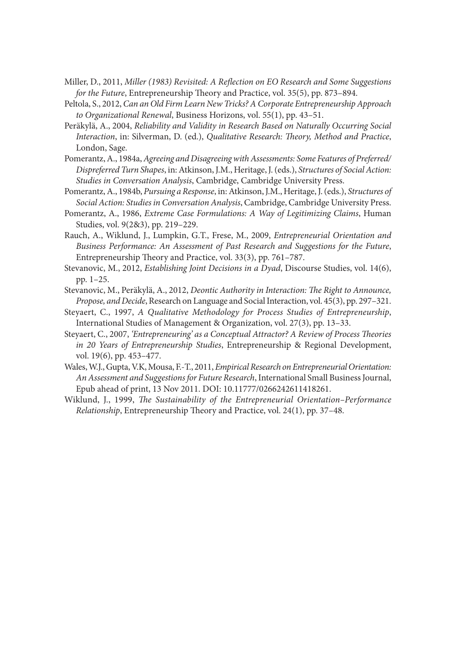- Miller, D., 2011, *Miller (1983) Revisited: A Refl ection on EO Research and Some Suggestions for the Future*, Entrepreneurship Theory and Practice, vol. 35(5), pp. 873-894.
- Peltola, S., 2012, *Can an Old Firm Learn New Tricks? A Corporate Entrepreneurship Approach to Organizational Renewal*, Business Horizons, vol. 55(1), pp. 43–51.
- Peräkylä, A., 2004, *Reliability and Validity in Research Based on Naturally Occurring Social*  Interaction, in: Silverman, D. (ed.), *Qualitative Research: Theory*, *Method and Practice*, London, Sage.
- Pomerantz, A., 1984a, *Agreeing and Disagreeing with Assessments: Some Features of Preferred/ Dispreferred Turn Shapes*, in: Atkinson, J.M., Heritage, J. (eds.), *Structures of Social Action: Studies in Conversation Analysis*, Cambridge, Cambridge University Press.
- Pomerantz, A., 1984b, *Pursuing a Response*, in: Atkinson, J.M., Heritage, J. (eds.), *Structures of Social Action: Studies in Conversation Analysis*, Cambridge, Cambridge University Press.
- Pomerantz, A., 1986, *Extreme Case Formulations: A Way of Legitimizing Claims*, Human Studies, vol. 9(2&3), pp. 219–229.
- Rauch, A., Wiklund, J., Lumpkin, G.T., Frese, M., 2009, *Entrepreneurial Orientation and Business Performance: An Assessment of Past Research and Suggestions for the Future*, Entrepreneurship Theory and Practice, vol. 33(3), pp. 761-787.
- Stevanovic, M., 2012, *Establishing Joint Decisions in a Dyad*, Discourse Studies, vol. 14(6), pp. 1–25.
- Stevanovic, M., Peräkylä, A., 2012, *Deontic Authority in Interaction: The Right to Announce*, *Propose, and Decide*, Research on Language and Social Interaction, vol. 45(3), pp. 297–321.
- Steyaert, C., 1997, *A Qualitative Methodology for Process Studies of Entrepreneurship*, International Studies of Management & Organization, vol. 27(3), pp. 13–33.
- Steyaert, C., 2007, 'Entrepreneuring' as a Conceptual Attractor? A Review of Process Theories *in 20 Years of Entrepreneurship Studies*, Entrepreneurship & Regional Development, vol. 19(6), pp. 453–477.
- Wales, W.J., Gupta, V.K, Mousa, F.-T., 2011, *Empirical Research on Entrepreneurial Orientation: An Assessment and Suggestions for Future Research*, International Small Business Journal, Epub ahead of print, 13 Nov 2011. DOI: 10.11777/0266242611418261.
- Wiklund, J., 1999, *The Sustainability of the Entrepreneurial Orientation–Performance Relationship*, Entrepreneurship Theory and Practice, vol. 24(1), pp. 37-48.